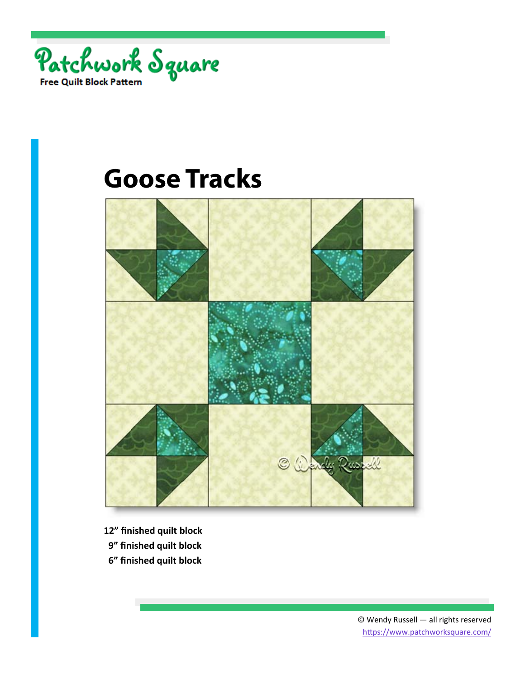



- **12" finished quilt block**
- **9" finished quilt block**
- **6" finished quilt block**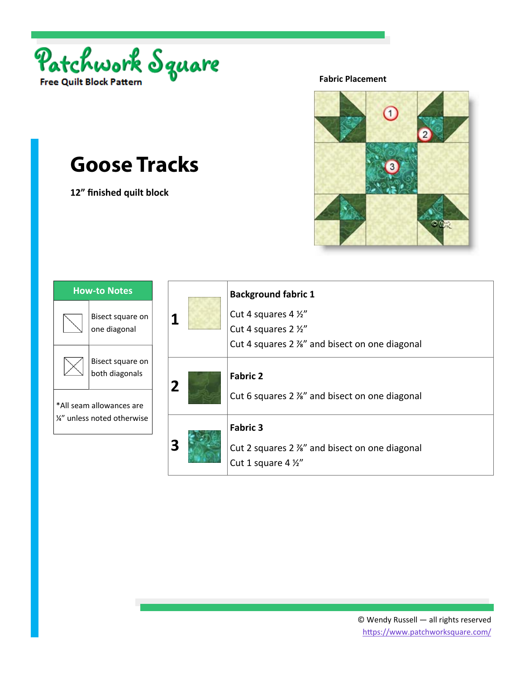

**12" finished quilt block** 

**Fabric Placement** 



| <b>How-to Notes</b>                                     |                                    |
|---------------------------------------------------------|------------------------------------|
|                                                         | Bisect square on<br>one diagonal   |
|                                                         | Bisect square on<br>both diagonals |
| *All seam allowances are<br>1/2" unless noted otherwise |                                    |

|                |  | <b>Background fabric 1</b>                                                                         |
|----------------|--|----------------------------------------------------------------------------------------------------|
|                |  | Cut 4 squares 4 1/2"                                                                               |
|                |  | Cut 4 squares 2 1/2"                                                                               |
|                |  | Cut 4 squares 2 %" and bisect on one diagonal                                                      |
| $\overline{2}$ |  | <b>Fabric 2</b><br>Cut 6 squares 2 %" and bisect on one diagonal                                   |
|                |  | <b>Fabric 3</b><br>Cut 2 squares 2 %" and bisect on one diagonal<br>Cut 1 square 4 $\frac{1}{2}$ " |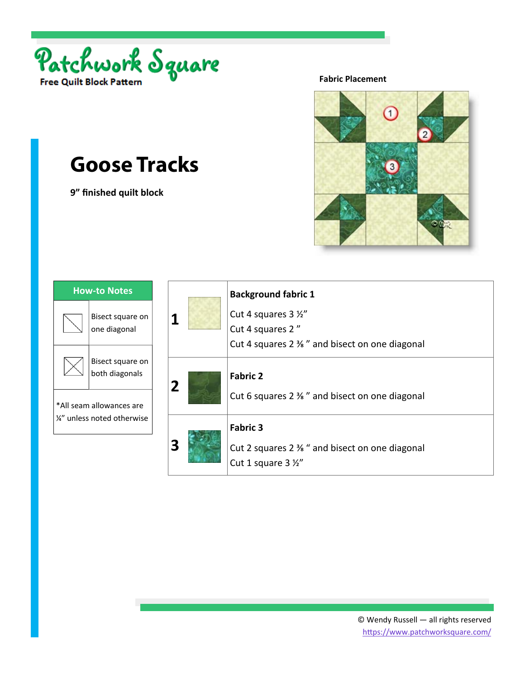

**9" finished quilt block** 

**Fabric Placement** 



| <b>How-to Notes</b>                                     |                                    |
|---------------------------------------------------------|------------------------------------|
|                                                         | Bisect square on<br>one diagonal   |
|                                                         | Bisect square on<br>both diagonals |
| *All seam allowances are<br>1⁄4" unless noted otherwise |                                    |

|                |  | <b>Background fabric 1</b>                                                                       |
|----------------|--|--------------------------------------------------------------------------------------------------|
|                |  | Cut 4 squares 3 1/2"                                                                             |
|                |  | Cut 4 squares 2"                                                                                 |
|                |  | Cut 4 squares 2 % " and bisect on one diagonal                                                   |
| $\overline{2}$ |  | <b>Fabric 2</b><br>Cut 6 squares 2 % " and bisect on one diagonal                                |
|                |  | <b>Fabric 3</b><br>Cut 2 squares 2 % " and bisect on one diagonal<br>Cut 1 square $3\frac{1}{2}$ |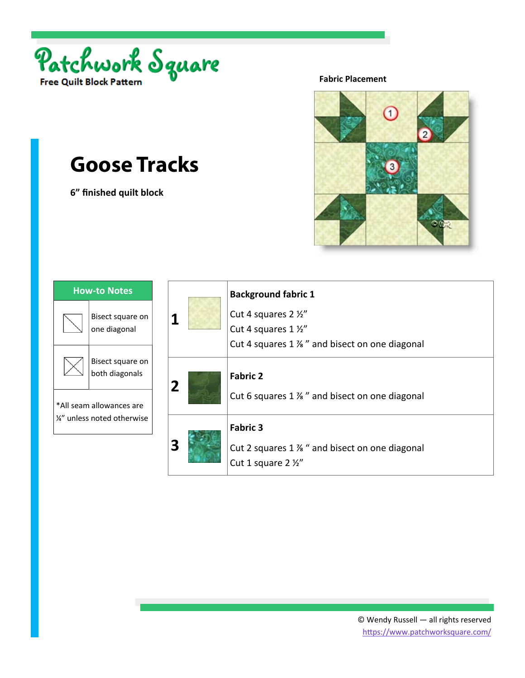

**6" finished quilt block** 

**Fabric Placement** 



| <b>How-to Notes</b>                                     |                                    |
|---------------------------------------------------------|------------------------------------|
|                                                         | Bisect square on<br>one diagonal   |
|                                                         | Bisect square on<br>both diagonals |
| *All seam allowances are<br>1/4" unless noted otherwise |                                    |

|                | <b>Background fabric 1</b>                                                                                   |
|----------------|--------------------------------------------------------------------------------------------------------------|
| 1              | Cut 4 squares 2 1/2"                                                                                         |
|                | Cut 4 squares 1 1/2"                                                                                         |
|                | Cut 4 squares 1 % " and bisect on one diagonal                                                               |
| $\overline{2}$ | <b>Fabric 2</b><br>Cut 6 squares $1\frac{1}{2}$ and bisect on one diagonal                                   |
| З              | <b>Fabric 3</b><br>Cut 2 squares $1\frac{1}{2}$ " and bisect on one diagonal<br>Cut 1 square 2 $\frac{1}{2}$ |